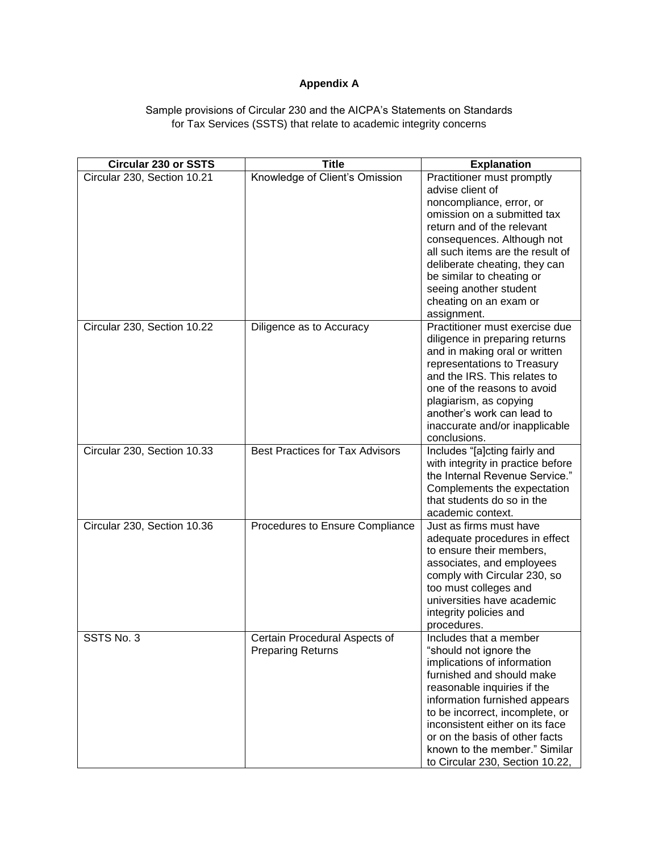## **Appendix A**

## Sample provisions of Circular 230 and the AICPA's Statements on Standards for Tax Services (SSTS) that relate to academic integrity concerns

| <b>Circular 230 or SSTS</b> | <b>Title</b>                           | <b>Explanation</b>                                            |
|-----------------------------|----------------------------------------|---------------------------------------------------------------|
| Circular 230, Section 10.21 | Knowledge of Client's Omission         | Practitioner must promptly<br>advise client of                |
|                             |                                        | noncompliance, error, or                                      |
|                             |                                        | omission on a submitted tax<br>return and of the relevant     |
|                             |                                        | consequences. Although not                                    |
|                             |                                        | all such items are the result of                              |
|                             |                                        | deliberate cheating, they can                                 |
|                             |                                        | be similar to cheating or                                     |
|                             |                                        | seeing another student                                        |
|                             |                                        | cheating on an exam or                                        |
|                             |                                        | assignment.                                                   |
| Circular 230, Section 10.22 | Diligence as to Accuracy               | Practitioner must exercise due                                |
|                             |                                        | diligence in preparing returns                                |
|                             |                                        | and in making oral or written                                 |
|                             |                                        | representations to Treasury<br>and the IRS. This relates to   |
|                             |                                        | one of the reasons to avoid                                   |
|                             |                                        | plagiarism, as copying                                        |
|                             |                                        | another's work can lead to                                    |
|                             |                                        | inaccurate and/or inapplicable                                |
|                             |                                        | conclusions.                                                  |
| Circular 230, Section 10.33 | <b>Best Practices for Tax Advisors</b> | Includes "[a]cting fairly and                                 |
|                             |                                        | with integrity in practice before                             |
|                             |                                        | the Internal Revenue Service."<br>Complements the expectation |
|                             |                                        | that students do so in the                                    |
|                             |                                        | academic context.                                             |
| Circular 230, Section 10.36 | Procedures to Ensure Compliance        | Just as firms must have                                       |
|                             |                                        | adequate procedures in effect                                 |
|                             |                                        | to ensure their members,                                      |
|                             |                                        | associates, and employees                                     |
|                             |                                        | comply with Circular 230, so<br>too must colleges and         |
|                             |                                        | universities have academic                                    |
|                             |                                        | integrity policies and                                        |
|                             |                                        | procedures.                                                   |
| SSTS No. 3                  | Certain Procedural Aspects of          | Includes that a member                                        |
|                             | <b>Preparing Returns</b>               | "should not ignore the                                        |
|                             |                                        | implications of information                                   |
|                             |                                        | furnished and should make                                     |
|                             |                                        | reasonable inquiries if the<br>information furnished appears  |
|                             |                                        | to be incorrect, incomplete, or                               |
|                             |                                        | inconsistent either on its face                               |
|                             |                                        | or on the basis of other facts                                |
|                             |                                        | known to the member." Similar                                 |
|                             |                                        | to Circular 230, Section 10.22,                               |